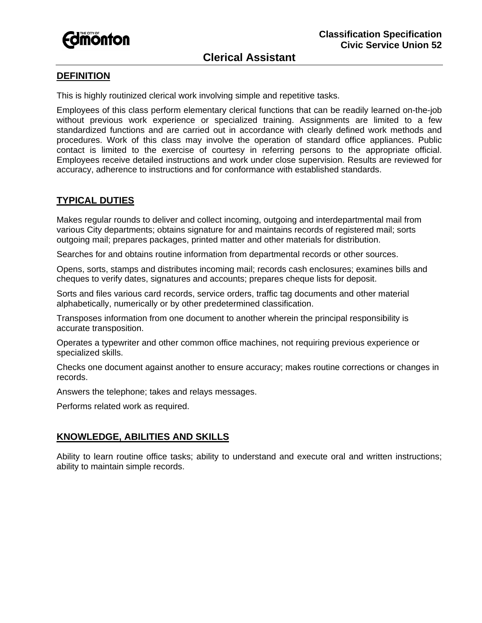

# **DEFINITION**

This is highly routinized clerical work involving simple and repetitive tasks.

Employees of this class perform elementary clerical functions that can be readily learned on-the-job without previous work experience or specialized training. Assignments are limited to a few standardized functions and are carried out in accordance with clearly defined work methods and procedures. Work of this class may involve the operation of standard office appliances. Public contact is limited to the exercise of courtesy in referring persons to the appropriate official. Employees receive detailed instructions and work under close supervision. Results are reviewed for accuracy, adherence to instructions and for conformance with established standards.

## **TYPICAL DUTIES**

Makes regular rounds to deliver and collect incoming, outgoing and interdepartmental mail from various City departments; obtains signature for and maintains records of registered mail; sorts outgoing mail; prepares packages, printed matter and other materials for distribution.

Searches for and obtains routine information from departmental records or other sources.

Opens, sorts, stamps and distributes incoming mail; records cash enclosures; examines bills and cheques to verify dates, signatures and accounts; prepares cheque lists for deposit.

Sorts and files various card records, service orders, traffic tag documents and other material alphabetically, numerically or by other predetermined classification.

Transposes information from one document to another wherein the principal responsibility is accurate transposition.

Operates a typewriter and other common office machines, not requiring previous experience or specialized skills.

Checks one document against another to ensure accuracy; makes routine corrections or changes in records.

Answers the telephone; takes and relays messages.

Performs related work as required.

## **KNOWLEDGE, ABILITIES AND SKILLS**

Ability to learn routine office tasks; ability to understand and execute oral and written instructions; ability to maintain simple records.